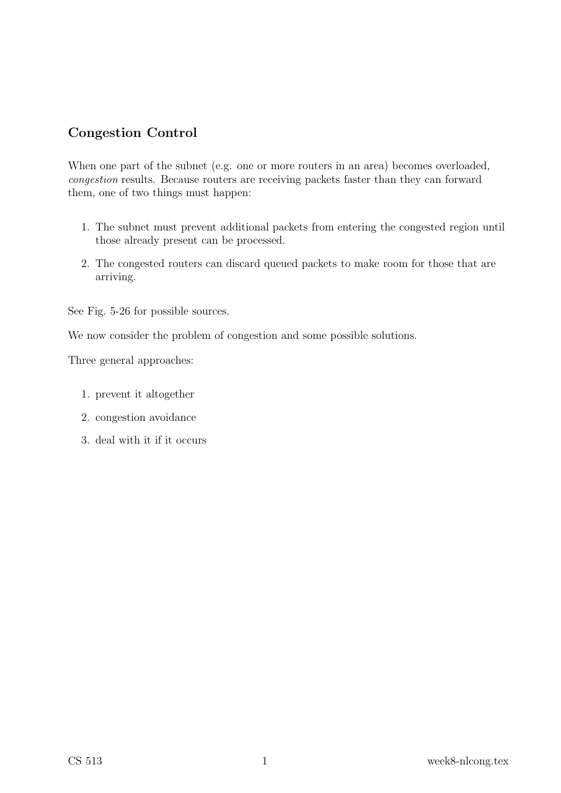# Congestion Control

When one part of the subnet (e.g. one or more routers in an area) becomes overloaded, congestion results. Because routers are receiving packets faster than they can forward them, one of two things must happen:

- 1. The subnet must prevent additional packets from entering the congested region until those already present can be processed.
- 2. The congested routers can discard queued packets to make room for those that are arriving.

See Fig. 5-26 for possible sources.

We now consider the problem of congestion and some possible solutions.

Three general approaches:

- 1. prevent it altogether
- 2. congestion avoidance
- 3. deal with it if it occurs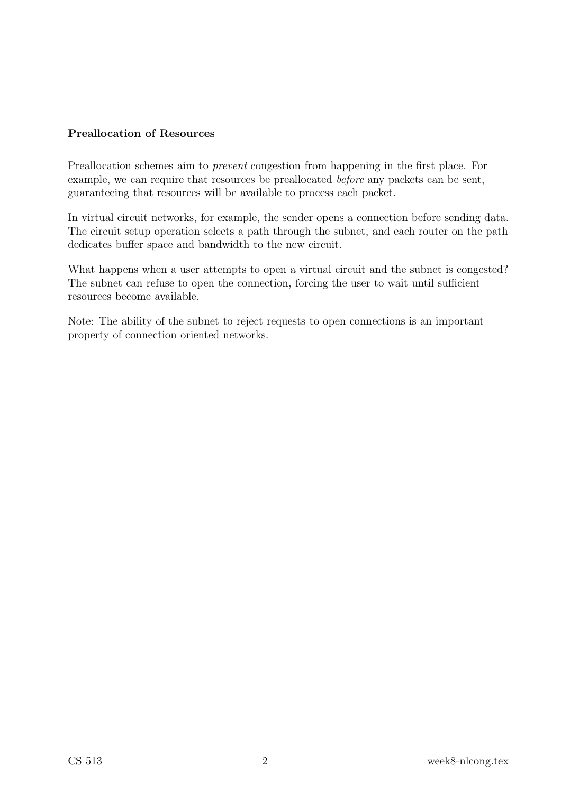### Preallocation of Resources

Preallocation schemes aim to prevent congestion from happening in the first place. For example, we can require that resources be preallocated before any packets can be sent, guaranteeing that resources will be available to process each packet.

In virtual circuit networks, for example, the sender opens a connection before sending data. The circuit setup operation selects a path through the subnet, and each router on the path dedicates buffer space and bandwidth to the new circuit.

What happens when a user attempts to open a virtual circuit and the subnet is congested? The subnet can refuse to open the connection, forcing the user to wait until sufficient resources become available.

Note: The ability of the subnet to reject requests to open connections is an important property of connection oriented networks.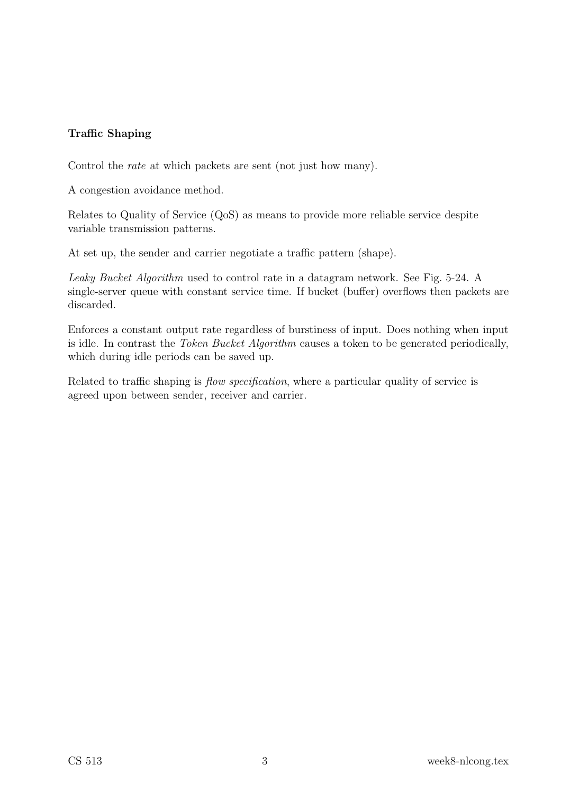# Traffic Shaping

Control the rate at which packets are sent (not just how many).

A congestion avoidance method.

Relates to Quality of Service (QoS) as means to provide more reliable service despite variable transmission patterns.

At set up, the sender and carrier negotiate a traffic pattern (shape).

Leaky Bucket Algorithm used to control rate in a datagram network. See Fig. 5-24. A single-server queue with constant service time. If bucket (buffer) overflows then packets are discarded.

Enforces a constant output rate regardless of burstiness of input. Does nothing when input is idle. In contrast the Token Bucket Algorithm causes a token to be generated periodically, which during idle periods can be saved up.

Related to traffic shaping is *flow specification*, where a particular quality of service is agreed upon between sender, receiver and carrier.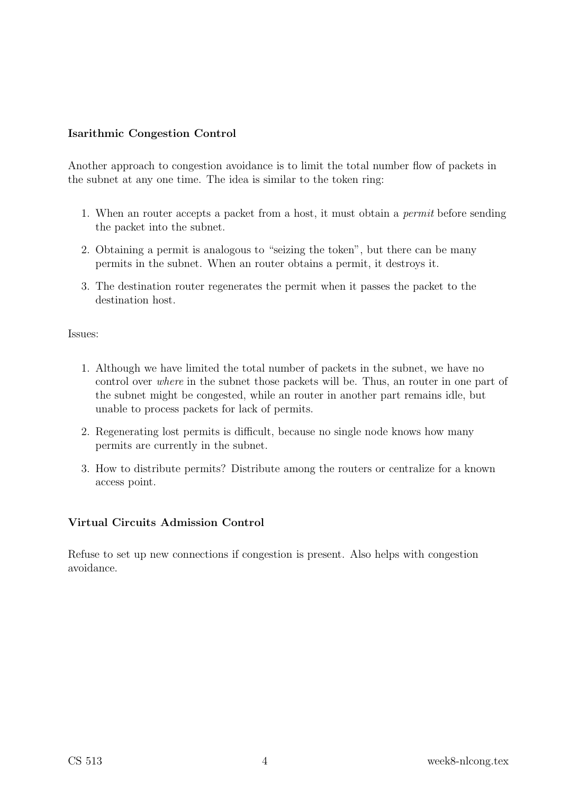### Isarithmic Congestion Control

Another approach to congestion avoidance is to limit the total number flow of packets in the subnet at any one time. The idea is similar to the token ring:

- 1. When an router accepts a packet from a host, it must obtain a permit before sending the packet into the subnet.
- 2. Obtaining a permit is analogous to "seizing the token", but there can be many permits in the subnet. When an router obtains a permit, it destroys it.
- 3. The destination router regenerates the permit when it passes the packet to the destination host.

Issues:

- 1. Although we have limited the total number of packets in the subnet, we have no control over where in the subnet those packets will be. Thus, an router in one part of the subnet might be congested, while an router in another part remains idle, but unable to process packets for lack of permits.
- 2. Regenerating lost permits is difficult, because no single node knows how many permits are currently in the subnet.
- 3. How to distribute permits? Distribute among the routers or centralize for a known access point.

### Virtual Circuits Admission Control

Refuse to set up new connections if congestion is present. Also helps with congestion avoidance.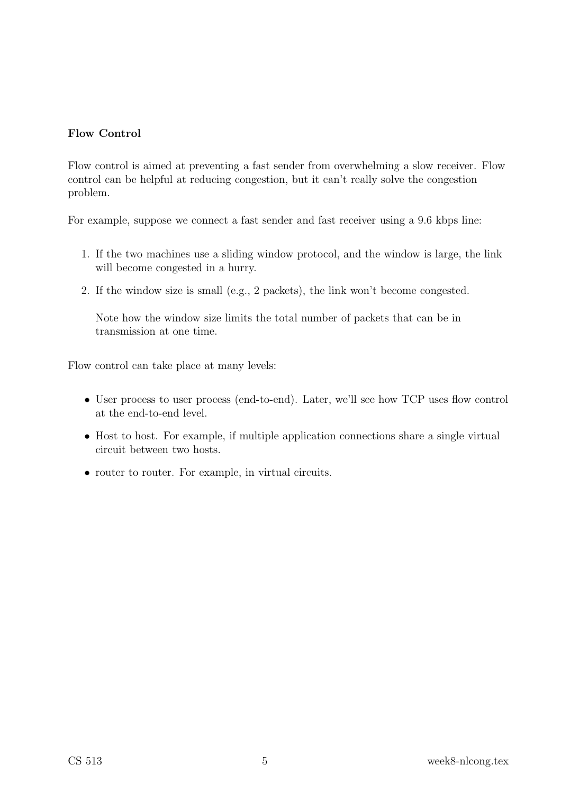#### Flow Control

Flow control is aimed at preventing a fast sender from overwhelming a slow receiver. Flow control can be helpful at reducing congestion, but it can't really solve the congestion problem.

For example, suppose we connect a fast sender and fast receiver using a 9.6 kbps line:

- 1. If the two machines use a sliding window protocol, and the window is large, the link will become congested in a hurry.
- 2. If the window size is small (e.g., 2 packets), the link won't become congested.

Note how the window size limits the total number of packets that can be in transmission at one time.

Flow control can take place at many levels:

- User process to user process (end-to-end). Later, we'll see how TCP uses flow control at the end-to-end level.
- Host to host. For example, if multiple application connections share a single virtual circuit between two hosts.
- router to router. For example, in virtual circuits.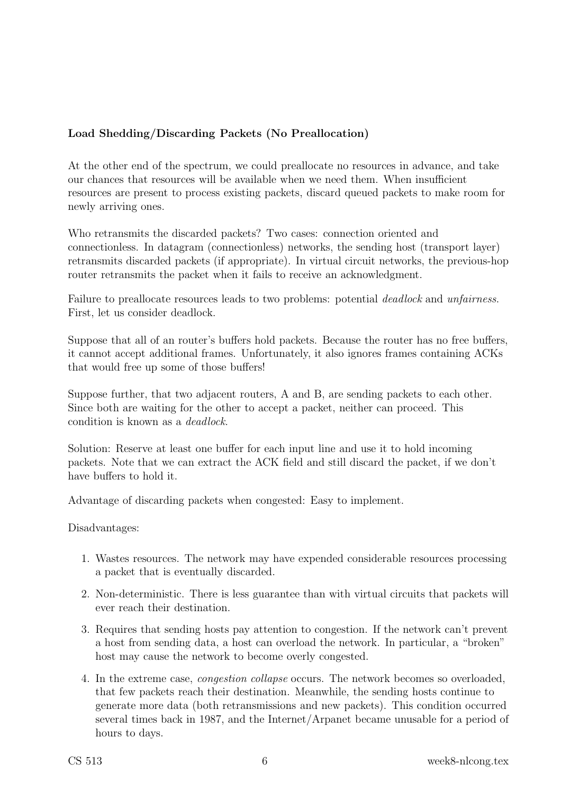# Load Shedding/Discarding Packets (No Preallocation)

At the other end of the spectrum, we could preallocate no resources in advance, and take our chances that resources will be available when we need them. When insufficient resources are present to process existing packets, discard queued packets to make room for newly arriving ones.

Who retransmits the discarded packets? Two cases: connection oriented and connectionless. In datagram (connectionless) networks, the sending host (transport layer) retransmits discarded packets (if appropriate). In virtual circuit networks, the previous-hop router retransmits the packet when it fails to receive an acknowledgment.

Failure to preallocate resources leads to two problems: potential *deadlock* and *unfairness*. First, let us consider deadlock.

Suppose that all of an router's buffers hold packets. Because the router has no free buffers, it cannot accept additional frames. Unfortunately, it also ignores frames containing ACKs that would free up some of those buffers!

Suppose further, that two adjacent routers, A and B, are sending packets to each other. Since both are waiting for the other to accept a packet, neither can proceed. This condition is known as a deadlock.

Solution: Reserve at least one buffer for each input line and use it to hold incoming packets. Note that we can extract the ACK field and still discard the packet, if we don't have buffers to hold it.

Advantage of discarding packets when congested: Easy to implement.

Disadvantages:

- 1. Wastes resources. The network may have expended considerable resources processing a packet that is eventually discarded.
- 2. Non-deterministic. There is less guarantee than with virtual circuits that packets will ever reach their destination.
- 3. Requires that sending hosts pay attention to congestion. If the network can't prevent a host from sending data, a host can overload the network. In particular, a "broken" host may cause the network to become overly congested.
- 4. In the extreme case, congestion collapse occurs. The network becomes so overloaded, that few packets reach their destination. Meanwhile, the sending hosts continue to generate more data (both retransmissions and new packets). This condition occurred several times back in 1987, and the Internet/Arpanet became unusable for a period of hours to days.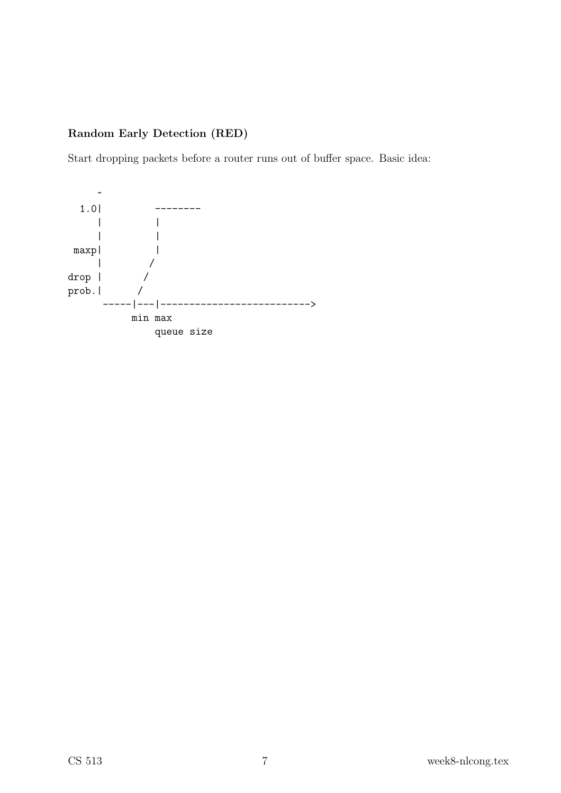# Random Early Detection (RED)

Start dropping packets before a router runs out of buffer space. Basic idea: